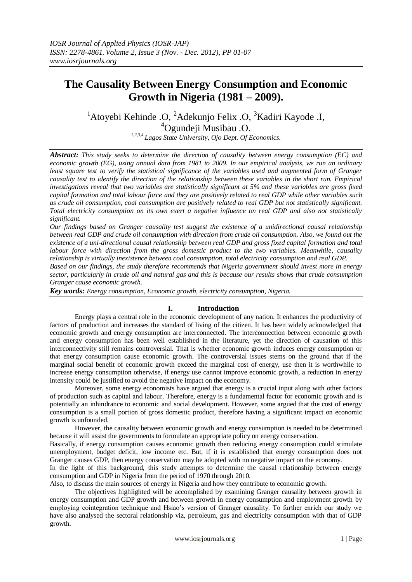# **The Causality Between Energy Consumption and Economic Growth in Nigeria (1981 – 2009).**

<sup>1</sup> Atoyebi Kehinde .O, <sup>2</sup> Adekunjo Felix .O, <sup>3</sup> Kadiri Kayode .I, <sup>4</sup>Ogundeji Musibau .O.

*1,2,3,4 Lagos State University, Ojo Dept. Of Economics.*

*Abstract: This study seeks to determine the direction of causality between energy consumption (EC) and economic growth (EG), using annual data from 1981 to 2009. In our empirical analysis, we run an ordinary least square test to verify the statistical significance of the variables used and augmented form of Granger causality test to identify the direction of the relationship between these variables in the short run. Empirical investigations reveal that two variables are statistically significant at 5% and these variables are gross fixed capital formation and total labour force and they are positively related to real GDP while other variables such as crude oil consumption, coal consumption are positively related to real GDP but not statistically significant. Total electricity consumption on its own exert a negative influence on real GDP and also not statistically significant.*

*Our findings based on Granger causality test suggest the existence of a unidirectional causal relationship between real GDP and crude oil consumption with direction from crude oil consumption. Also, we found out the existence of a uni-directional causal relationship between real GDP and gross fixed capital formation and total labour force with direction from the gross domestic product to the two variables. Meanwhile, causality relationship is virtually inexistence between coal consumption, total electricity consumption and real GDP.*

*Based on our findings, the study therefore recommends that Nigeria government should invest more in energy sector, particularly in crude oil and natural gas and this is because our results shows that crude consumption Granger cause economic growth.*

*Key words: Energy consumption, Economic growth, electricity consumption, Nigeria.* 

# **I. Introduction**

Energy plays a central role in the economic development of any nation. It enhances the productivity of factors of production and increases the standard of living of the citizen. It has been widely acknowledged that economic growth and energy consumption are interconnected. The interconnection between economic growth and energy consumption has been well established in the literature, yet the direction of causation of this interconnectivity still remains controversial. That is whether economic growth induces energy consumption or that energy consumption cause economic growth. The controversial issues stems on the ground that if the marginal social benefit of economic growth exceed the marginal cost of energy, use then it is worthwhile to increase energy consumption otherwise, if energy use cannot improve economic growth, a reduction in energy intensity could be justified to avoid the negative impact on the economy.

Moreover, some energy economists have argued that energy is a crucial input along with other factors of production such as capital and labour. Therefore, energy is a fundamental factor for economic growth and is potentially an inhindrance to economic and social development. However, some argued that the cost of energy consumption is a small portion of gross domestic product, therefore having a significant impact on economic growth is unfounded.

However, the causality between economic growth and energy consumption is needed to be determined because it will assist the governments to formulate an appropriate policy on energy conservation.

Basically, if energy consumption causes economic growth then reducing energy consumption could stimulate unemployment, budget deficit, low income etc. But, if it is established that energy consumption does not Granger causes GDP, then energy conservation may be adopted with no negative impact on the economy.

In the light of this background, this study attempts to determine the causal relationship between energy consumption and GDP in Nigeria from the period of 1970 through 2010.

Also, to discuss the main sources of energy in Nigeria and how they contribute to economic growth.

The objectives highlighted will be accomplished by examining Granger causality between growth in energy consumption and GDP growth and between growth in energy consumption and employment growth by employing cointegration technique and Hsiao's version of Granger causality. To further enrich our study we have also analysed the sectoral relationship viz, petroleum, gas and electricity consumption with that of GDP growth.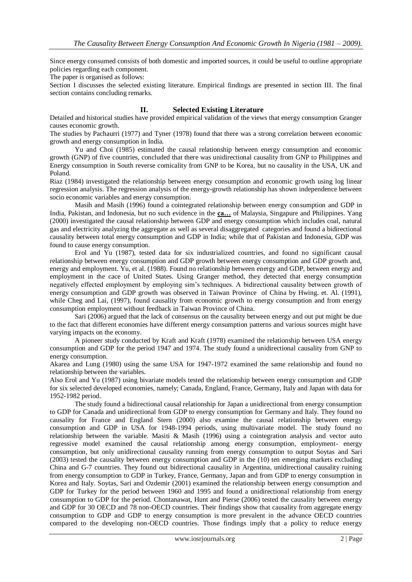Since energy consumed consists of both domestic and imported sources, it could be useful to outline appropriate policies regarding each component.

The paper is organised as follows:

Section I discusses the selected existing literature. Empirical findings are presented in section III. The final section contains concluding remarks.

#### **II. Selected Existing Literature**

Detailed and historical studies have provided empirical validation of the views that energy consumption Granger causes economic growth.

The studies by Pachaurri (1977) and Tyner (1978) found that there was a strong correlation between economic growth and energy consumption in India.

Yu and Choi (1985) estimated the causal relationship between energy consumption and economic growth (GNP) of five countries, concluded that there was unidirectional causality from GNP to Philippines and Energy consumption in South reverse comicality from GNP to be Korea, but no causality in the USA, UK and Poland.

Riaz (1984) investigated the relationship between energy consumption and economic growth using log linear regression analysis. The regression analysis of the energy-growth relationship has shown independence between socio economic variables and energy consumption.

Masih and Masih (1996) found a cointegrated relationship between energy consumption and GDP in India, Pakistan, and Indonesia, but no such evidence in the **ca…** of Malaysia, Singapure and Philippines. Yang (2000) investigated the causal relationship between GDP and energy consumption which includes coal, natural gas and electricity analyzing the aggregate as well as several disaggregated categories and found a bidirectional causality between total energy consumption and GDP in India; while that of Pakistan and Indonesia, GDP was found to cause energy consumption.

Erol and Yu (1987), tested data for six industrialized countries, and found no significant causal relationship between energy consumption and GDP growth between energy consumption and GDP growth and, energy and employment. Yu, et al. (1988). Found no relationship between energy and GDP, between energy and employment in the cace of United States. Using Granger method, they detected that energy consumption negatively effected employment by employing sim"s techniques. A bidirectional causality between growth of energy consumption and GDP growth was observed in Taiwan Province of China by Hwing. et. Al. (1991), while Cheg and Lai, (1997), found causality from economic growth to energy consumption and from energy consumption employment without feedback in Taiwan Province of China.

Sari (2006) argued that the lack of consensus on the causality between energy and out put might be due to the fact that different economies have different energy consumption patterns and various sources might have varying impacts on the economy.

A pioneer study conducted by Kraft and Kraft (1978) examined the relationship between USA energy consumption and GDP for the period 1947 and 1974. The study found a unidirectional causality from GNP to energy consumption.

Akarea and Lung (1980) using the same USA for 1947-1972 examined the same relationship and found no relationship between the variables.

Also Erol and Yu (1987) using bivariate models tested the relationship between energy consumption and GDP for six selected developed economies, namely; Canada, England, France, Germany, Italy and Japan with data for 1952-1982 period.

The study found a bidirectional causal relationship for Japan a unidirectional from energy consumption to GDP for Canada and unidirectional from GDP to energy consumption for Germany and Italy. They found no causality for France and England Stern (2000) also examine the causal relationship between energy consumption and GDP in USA for 1948-1994 periods, using multivariate model. The study found no relationship between the variable. Masiti & Masih (1996) using a cointegration analysis and vector auto regressive model examined the causal relationship among energy consumption, employment- energy consumption, but only unidirectional causality running from energy consumption to output Soytas and Sari (2003) tested the causality between energy consumption and GDP in the (10) ten emerging markets excluding China and G-7 countries. They found out bidirectional causality in Argentina, unidirectional causality ruining from energy consumption to GDP in Turkey, France, Germany, Japan and from GDP to energy consumption in Korea and Italy. Soytas, Sari and Ozdemir (2001) examined the relationship between energy consumption and GDP for Turkey for the period between 1960 and 1995 and found a unidirectional relationship from energy consumption to GDP for the period. Chontanawat, Hunt and Pierse (2006) tested the causality between energy and GDP for 30 OECD and 78 non-OECD countries. Their findings show that causality from aggregate energy consumption to GDP and GDP to energy consumption is more prevalent in the advance OECD countries compared to the developing non-OECD countries. Those findings imply that a policy to reduce energy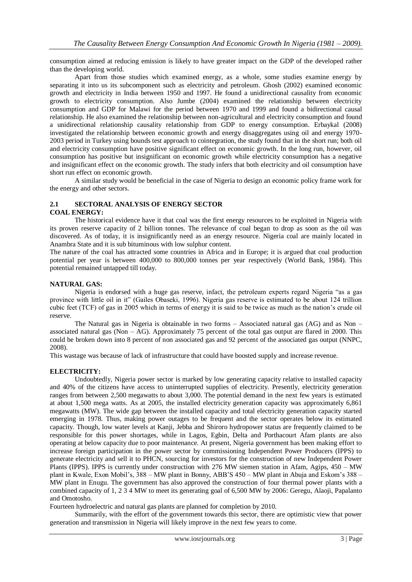consumption aimed at reducing emission is likely to have greater impact on the GDP of the developed rather than the developing world.

Apart from those studies which examined energy, as a whole, some studies examine energy by separating it into us its subcomponent such as electricity and petroleum. Ghosh (2002) examined economic growth and electricity in India between 1950 and 1997. He found a unidirectional causality from economic growth to electricity consumption. Also Jumbe (2004) examined the relationship between electricity consumption and GDP for Malawi for the period between 1970 and 1999 and found a bidirectional causal relationship. He also examined the relationship between non-agricultural and electricity consumption and found a unidirectional relationship causality relationship from GDP to energy consumption. Erbaykal (2008) investigated the relationship between economic growth and energy disaggregates using oil and energy 1970- 2003 period in Turkey using bounds test approach to cointegration, the study found that in the short run; both oil and electricity consumption have positive significant effect on economic growth. In the long run, however, oil consumption has positive but insignificant on economic growth while electricity consumption has a negative and insignificant effect on the economic growth. The study infers that both electricity and oil consumption have short run effect on economic growth.

A similar study would be beneficial in the case of Nigeria to design an economic policy frame work for the energy and other sectors.

#### **2.1 SECTORAL ANALYSIS OF ENERGY SECTOR COAL ENERGY:**

The historical evidence have it that coal was the first energy resources to be exploited in Nigeria with its proven reserve capacity of 2 billion tonnes. The relevance of coal began to drop as soon as the oil was discovered. As of today, it is insignificantly need as an energy resource. Nigeria coal are mainly located in Anambra State and it is sub bituminous with low sulphur content.

The nature of the coal has attracted some countries in Africa and in Europe; it is argued that coal production potential per year is between 400,000 to 800,000 tonnes per year respectively (World Bank, 1984). This potential remained untapped till today.

## **NATURAL GAS:**

Nigeria is endorsed with a huge gas reserve, infact, the petroleum experts regard Nigeria "as a gas province with little oil in it" (Gailes Obaseki, 1996). Nigeria gas reserve is estimated to be about 124 trillion cubic feet (TCF) of gas in 2005 which in terms of energy it is said to be twice as much as the nation"s crude oil reserve.

The Natural gas in Nigeria is obtainable in two forms  $-$  Associated natural gas (AG) and as Non  $$ associated natural gas (Non – AG). Approximately 75 percent of the total gas output are flared in 2000. This could be broken down into 8 percent of non associated gas and 92 percent of the associated gas output (NNPC, 2008).

This wastage was because of lack of infrastructure that could have boosted supply and increase revenue.

## **ELECTRICITY:**

Undoubtedly, Nigeria power sector is marked by low generating capacity relative to installed capacity and 40% of the citizens have access to uninterrupted supplies of electricity. Presently, electricity generation ranges from between 2,500 megawatts to about 3,000. The potential demand in the next few years is estimated at about 1,500 mega watts. As at 2005, the installed electricity generation capacity was approximately 6,861 megawatts (MW). The wide gap between the installed capacity and total electricity generation capacity started emerging in 1978. Thus, making power outages to be frequent and the sector operates below its estimated capacity. Though, low water levels at Kanji, Jebba and Shiroro hydropower status are frequently claimed to be responsible for this power shortages, while in Lagos, Egbin, Delta and Porthacourt Afam plants are also operating at below capacity due to poor maintenance. At present, Nigeria government has been making effort to increase foreign participation in the power sector by commissioning Independent Power Producers (IPPS) to generate electricity and sell it to PHCN, sourcing for investors for the construction of new Independent Power Plants (IPPS). IPPS is currently under construction with 276 MW siemen station in Afam, Agips, 450 – MW plant in Kwale, Exon Mobil"s, 388 – MW plant in Bonny, ABB"S 450 – MW plant in Abuja and Eskom"s 388 – MW plant in Enugu. The government has also approved the construction of four thermal power plants with a combined capacity of 1, 2 3 4 MW to meet its generating goal of 6,500 MW by 2006: Geregu, Alaoji, Papalanto and Omotosho.

Fourteen hydroelectric and natural gas plants are planned for completion by 2010.

Summarily, with the effort of the government towards this sector, there are optimistic view that power generation and transmission in Nigeria will likely improve in the next few years to come.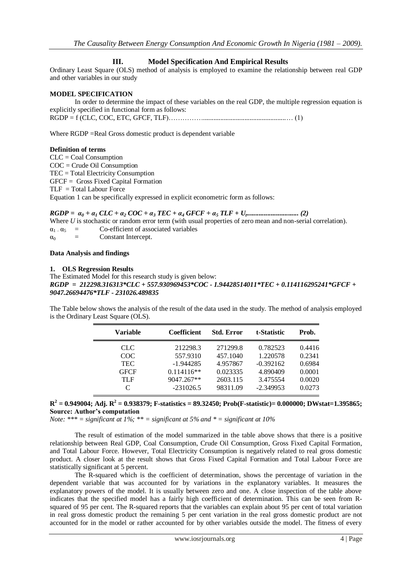## **III. Model Specification And Empirical Results**

Ordinary Least Square (OLS) method of analysis is employed to examine the relationship between real GDP and other variables in our study

#### **MODEL SPECIFICATION**

In order to determine the impact of these variables on the real GDP, the multiple regression equation is explicitly specified in functional form as follows: RGDP = f (CLC, COC, ETC, GFCF, TLF)……………................................................… (1)

Where RGDP = Real Gross domestic product is dependent variable

#### **Definition of terms**

CLC = Coal Consumption COC = Crude Oil Consumption TEC = Total Electricity Consumption GFCF = Gross Fixed Capital Formation TLF = Total Labour Force Equation 1 can be specifically expressed in explicit econometric form as follows:

## *RGDP = α<sup>0</sup> + α<sup>1</sup> CLC + α<sup>2</sup> COC + α<sup>3</sup> TEC + α<sup>4</sup> GFCF + α<sup>5</sup> TLF + U<sup>t</sup> .............................. (2)*

Where *U* is stochastic or random error term (with usual properties of zero mean and non-serial correlation).

 $\alpha_{1}$  –  $\alpha_{5}$  = Co-efficient of associated variables  $\alpha_0$  = Constant Intercept.

#### **Data Analysis and findings**

#### **1. OLS Regression Results**

The Estimated Model for this research study is given below: *RGDP = 212298.316313\*CLC + 557.930969453\*COC - 1.94428514011\*TEC + 0.114116295241\*GFCF + 9047.26694476\*TLF - 231026.489835*

The Table below shows the analysis of the result of the data used in the study. The method of analysis employed is the Ordinary Least Square (OLS).

| <b>Variable</b>             | <b>Coefficient</b> | <b>Std. Error</b> | t-Statistic | Prob.  |
|-----------------------------|--------------------|-------------------|-------------|--------|
| CLC.                        | 212298.3           | 271299.8          | 0.782523    | 0.4416 |
| COC                         | 557.9310           | 457.1040          | 1.220578    | 0.2341 |
| <b>TEC</b>                  | $-1.944285$        | 4.957867          | $-0.392162$ | 0.6984 |
| <b>GFCF</b>                 | $0.114116**$       | 0.023335          | 4.890409    | 0.0001 |
| TLF                         | 9047.267**         | 2603.115          | 3.475554    | 0.0020 |
| $\mathcal{C}_{\mathcal{C}}$ | $-231026.5$        | 98311.09          | $-2.349953$ | 0.0273 |

#### $R^2 = 0.949004$ ; Adj.  $R^2 = 0.938379$ ; F-statistics = 89.32450; Prob(F-statistic)= 0.000000; DWstat=1.395865; **Source: Author's computation**

*Note: \*\*\* = significant at 1%; \*\* = significant at 5% and \* = significant at 10%*

The result of estimation of the model summarized in the table above shows that there is a positive relationship between Real GDP, Coal Consumption, Crude Oil Consumption, Gross Fixed Capital Formation, and Total Labour Force. However, Total Electricity Consumption is negatively related to real gross domestic product. A closer look at the result shows that Gross Fixed Capital Formation and Total Labour Force are statistically significant at 5 percent.

The R-squared which is the coefficient of determination, shows the percentage of variation in the dependent variable that was accounted for by variations in the explanatory variables. It measures the explanatory powers of the model. It is usually between zero and one. A close inspection of the table above indicates that the specified model has a fairly high coefficient of determination. This can be seen from Rsquared of 95 per cent. The R-squared reports that the variables can explain about 95 per cent of total variation in real gross domestic product the remaining 5 per cent variation in the real gross domestic product are not accounted for in the model or rather accounted for by other variables outside the model. The fitness of every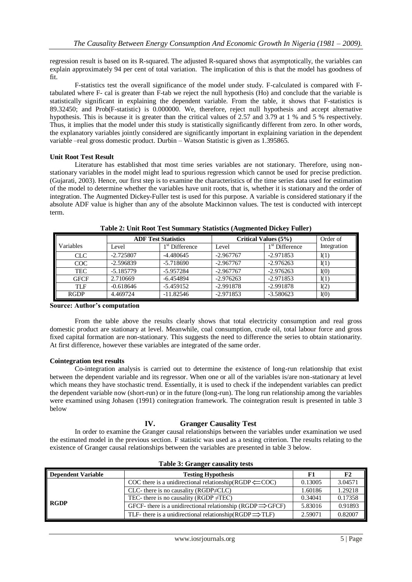regression result is based on its R-squared. The adjusted R-squared shows that asymptotically, the variables can explain approximately 94 per cent of total variation. The implication of this is that the model has goodness of fit.

F-statistics test the overall significance of the model under study. F-calculated is compared with Ftabulated where F- cal is greater than F-tab we reject the null hypothesis (Ho) and conclude that the variable is statistically significant in explaining the dependent variable. From the table, it shows that F-statistics is 89.32450; and Prob(F-statistic) is 0.000000. We, therefore, reject null hypothesis and accept alternative hypothesis. This is because it is greater than the critical values of 2.57 and 3.79 at 1 % and 5 % respectively. Thus, it implies that the model under this study is statistically significantly different from zero. In other words, the explanatory variables jointly considered are significantly important in explaining variation in the dependent variable –real gross domestic product. Durbin – Watson Statistic is given as 1.395865.

#### **Unit Root Test Result**

Literature has established that most time series variables are not stationary. Therefore, using nonstationary variables in the model might lead to spurious regression which cannot be used for precise prediction. (Gujarati, 2003). Hence, our first step is to examine the characteristics of the time series data used for estimation of the model to determine whether the variables have unit roots, that is, whether it is stationary and the order of integration. The Augmented Dickey-Fuller test is used for this purpose. A variable is considered stationary if the absolute ADF value is higher than any of the absolute Mackinnon values. The test is conducted with intercept term.

|             | <b>ADF Test Statistics</b> |                  | Critical Values (5%) |                  | Order of    |
|-------------|----------------------------|------------------|----------------------|------------------|-------------|
| Variables   | Level                      | $1st$ Difference | Level                | $1st$ Difference | Integration |
| <b>CLC</b>  | $-2.725807$                | $-4.480645$      | $-2.967767$          | $-2.971853$      | I(1)        |
| COC         | $-2.596839$                | $-5.718690$      | $-2.967767$          | $-2.976263$      | I(1)        |
| <b>TEC</b>  | $-5.185779$                | $-5.957284$      | $-2.967767$          | $-2.976263$      | I(0)        |
| <b>GFCF</b> | 2.710669                   | $-6.454894$      | $-2.976263$          | $-2.971853$      | I(1)        |
| <b>TLF</b>  | $-0.618646$                | $-5.459152$      | $-2.991878$          | $-2.991878$      | I(2)        |
| <b>RGDP</b> | 4.469724                   | $-11.82546$      | $-2.971853$          | $-3.580623$      | I(0)        |

**Table 2: Unit Root Test Summary Statistics (Augmented Dickey Fuller)**

**Source: Author's computation** 

From the table above the results clearly shows that total electricity consumption and real gross domestic product are stationary at level. Meanwhile, coal consumption, crude oil, total labour force and gross fixed capital formation are non-stationary. This suggests the need to difference the series to obtain stationarity. At first difference, however these variables are integrated of the same order.

#### **Cointegration test results**

Co-integration analysis is carried out to determine the existence of long-run relationship that exist between the dependent variable and its regressor. When one or all of the variables is/are non-stationary at level which means they have stochastic trend. Essentially, it is used to check if the independent variables can predict the dependent variable now (short-run) or in the future (long-run). The long run relationship among the variables were examined using Johasen (1991) conitegration framework. The cointegration result is presented in table 3 below

# **IV. Granger Causality Test**

In order to examine the Granger causal relationships between the variables under examination we used the estimated model in the previous section. F statistic was used as a testing criterion. The results relating to the existence of Granger causal relationships between the variables are presented in table 3 below.

| <b>Dependent Variable</b> | <b>Testing Hypothesis</b>                                              | F1      | F <sub>2</sub> |
|---------------------------|------------------------------------------------------------------------|---------|----------------|
|                           | COC there is a unidirectional relationship(RGDP $\leftarrow$ COC)      | 0.13005 | 3.04571        |
| <b>RGDP</b>               | $CLC$ - there is no causality ( $RGDP \neq CLC$ )                      | 1.60186 | 1.29218        |
|                           | TEC- there is no causality (RGDP $\neq$ TEC)                           | 0.34041 | 0.17358        |
|                           | GFCF- there is a unidirectional relationship (RGDP $\Rightarrow$ GFCF) | 5.83016 | 0.91893        |
|                           | TLF- there is a unidirectional relationship(RGDP $\Rightarrow$ TLF)    | 2.59071 | 0.82007        |

#### **Table 3: Granger causality tests**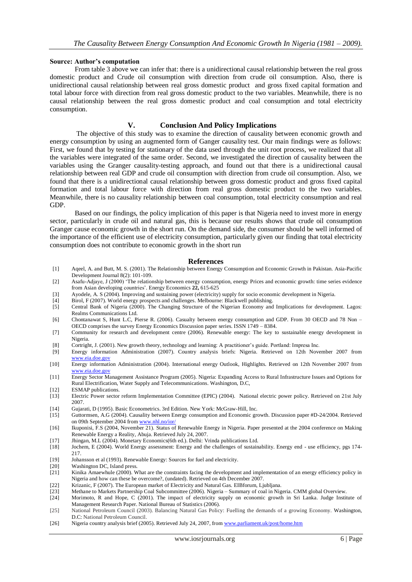#### **Source: Author's computation**

From table 3 above we can infer that: there is a unidirectional causal relationship between the real gross domestic product and Crude oil consumption with direction from crude oil consumption. Also, there is unidirectional causal relationship between real gross domestic product and gross fixed capital formation and total labour force with direction from real gross domestic product to the two variables. Meanwhile, there is no causal relationship between the real gross domestic product and coal consumption and total electricity consumption.

#### **V. Conclusion And Policy Implications**

The objective of this study was to examine the direction of causality between economic growth and energy consumption by using an augmented form of Ganger causality test. Our main findings were as follows: First, we found that by testing for stationary of the data used through the unit root process, we realized that all the variables were integrated of the same order. Second, we investigated the direction of causality between the variables using the Granger causality-testing approach, and found out that there is a unidirectional causal relationship between real GDP and crude oil consumption with direction from crude oil consumption. Also, we found that there is a unidirectional causal relationship between gross domestic product and gross fixed capital formation and total labour force with direction from real gross domestic product to the two variables. Meanwhile, there is no causality relationship between coal consumption, total electricity consumption and real GDP.

Based on our findings, the policy implication of this paper is that Nigeria need to invest more in energy sector, particularly in crude oil and natural gas, this is because our results shows that crude oil consumption Granger cause economic growth in the short run. On the demand side, the consumer should be well informed of the importance of the efficient use of electricity consumption, particularly given our finding that total electricity consumption does not contribute to economic growth in the short run

#### **References**

- [1] Aqeel, A. and Butt, M. S. (2001). The Relationship between Energy Consumption and Economic Growth in Pakistan. Asia-Pacific Development Journal 8(2): 101-109.
- [2] Asafu-Adjaye, J (2000) "The relationship between energy consumption, energy Prices and economic growth: time series evidence from Asian developing countries". Energy Economics **22,** 615-625
- [3] Ayodele, A. S (2004). Improving and sustaining power (electricity) supply for socio economic development in Nigeria.
- [4] Birol, F (2007). World energy prospects and challenges. Melbourne: Blackwell publishing.
- [5] Central Bank of Nigeria (2000). The Changing Structure of the Nigerian Economy and Implications for development. Lagos: Realms Communications Ltd.
- [6] Chontanawat S, Hunt L.C, Pierse R. (2006). Casualty between energy consumption and GDP. From 30 OECD and 78 Non OECD comprises the survey Energy Economics Discussion paper series. ISSN 1749 – 8384.
- [7] Community for research and development centre (2006). Renewable energy: The key to sustainable energy development in Nigeria.
- [8] Cortright, J. (2001). New growth theory, technology and learning: A practitioner"s guide. Portland: Impresa Inc.
- [9] Energy information Administration (2007). Country analysis briefs: Nigeria. Retrieved on 12th November 2007 from [www.eia.doe.gov](http://www.eia.doe.gov/)
- [10] Energy information Administration (2004). International energy Outlook, Highlights. Retrieved on 12th November 2007 from [www.eia.doe.gov](http://www.eia.doe.gov/)
- [11] Energy Sector Management Assistance Program (2005). Nigeria: Expanding Access to Rural Infrastructure Issues and Options for Rural Electrification, Water Supply and Telecommunications. Washington, D.C,
- [12] ESMAP publications.<br>[13] Electric Power sector
- Electric Power sector reform Implementation Committee (EPIC) (2004). National electric power policy. Retrieved on 21st July 2007.
- [14] Gujarati, D (1995). Basic Econometrics. 3rd Edition. New York: McGraw-Hill, Inc.
- [15] Guttormsen, A.G (2004). Causality between Energy consumption and Economic growth. Discussion paper #D-24/2004. Retrieved on 09th September 2004 fro[m www.nhl.no/ior/](http://www.nhl.no/ior/)
- [16] Ikuponisi, F.S (2004, November 21). Status of Renewable Energy in Nigeria. Paper presented at the 2004 conference on Making Renewable Energy a Reality, Abuja. Retrieved July 24, 2007.
- [17] Jhingan, M.L (2004). Monetary Economics(6th ed.). Delhi: Vrinda publications Ltd.
- [18] Jochem, E (2004). World Energy assessment: Energy and the challenges of sustainability. Energy end use efficiency, pgs 174- 217.
- [19] Johansson et al (1993). Renewable Energy: Sources for fuel and electricity.
- [20] Washington DC, Island press.<br>[21] Kinika Amaewhule (2000). W
- Kinika Amaewhule (2000). What are the constraints facing the development and implementation of an energy efficiency policy in Nigeria and how can these be overcome?, (undated). Retrieved on 4th December 2007.
- [22] Krizanic, F (2007). The European market of Electricity and Natural Gas. EIBforum, Ljubljana.
- [23] Methane to Markets Partnership Coal Subcommittee (2006). Nigeria Summary of coal in Nigeria. CMM global Overview.
- [24] Morimoto, R and Hope, C (2001). The impact of electricity supply on economic growth in Sri Lanka. Judge Institute of Management Research Paper. National Bureau of Statistics (2006).
- [25] National Petroleum Council (2003). Balancing Natural Gas Policy: Fuelling the demands of a growing Economy. Washington, D.C: National Petroleum Council.
- [26] Nigeria country analysis brief (2005). Retrieved July 24, 2007, from [www.parliament.uk/post/home.htm](http://www.parliament.uk/post/home.htm)